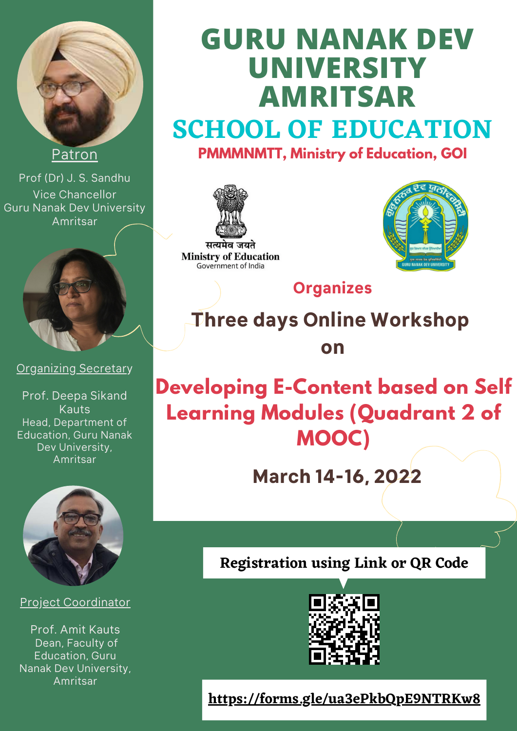

#### **Patron**

Prof (Dr) J. S. Sandhu Vice Chancellor Guru Nanak Dev University Amritsar



Organizing Secretary

Prof. Deepa Sikand Kauts Head, Department of Education, Guru Nanak Dev University, Amritsar



#### Project Coordinator

Prof. Amit Kauts Dean, Faculty of Education, Guru Nanak Dev University, Amritsar

# **SCHOOL OF EDUCATION GURU NANAK DEV UNIVERSITY AMRITSAR PMMMNMTT, Ministry of Education, GOI**



सत्यमेव जयते **Ministry of Education** Government of India



# **Organizes**

**Three days Online Workshop on**

# **Developing E-Content based on Self Learning Modules (Quadrant 2 of MOOC) March 14-16, 2022**

### **Registration using Link or QR Code**



**<https://forms.gle/ua3ePkbQpE9NTRKw8>**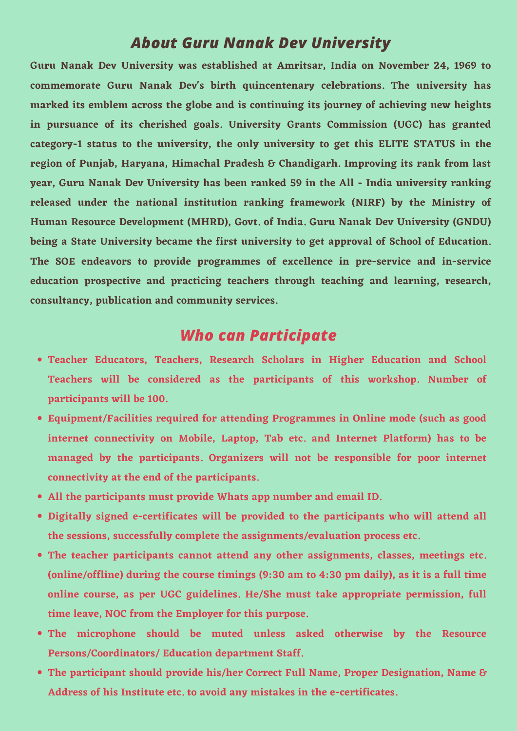#### *About Guru Nanak Dev University*

**Guru Nanak Dev University was established at Amritsar, India on November 24, 1969 to commemorate Guru Nanak Dev's birth quincentenary celebrations. The university has marked its emblem across the globe and is continuing its journey of achieving new heights in pursuance of its cherished goals. University Grants Commission (UGC) has granted category-1 status to the university, the only university to get this ELITE STATUS in the region of Punjab, Haryana, Himachal Pradesh & Chandigarh. Improving its rank from last year, Guru Nanak Dev University has been ranked 59 in the All - India university ranking released under the national institution ranking framework (NIRF) by the Ministry of Human Resource Development (MHRD), Govt. of India. Guru Nanak Dev University (GNDU) being a State University became the first university to get approval of School of Education. The SOE endeavors to provide programmes of excellence in pre-service and in-service education prospective and practicing teachers through teaching and learning, research, consultancy, publication and community services.**

- **Teacher Educators, Teachers, Research Scholars in Higher Education and School Teachers will be considered as the participants of this workshop. Number of**
	- **participants will be 100.**
- **Equipment/Facilities required for attending Programmes in Online mode (such as good internet connectivity on Mobile, Laptop, Tab etc. and Internet Platform) has to be managed by the participants. Organizers will not be responsible for poor internet connectivity at the end of the participants.**
- **All the participants must provide Whats app number and email ID.**
- **Digitally signed e-certificates will be provided to the participants who will attend all the sessions, successfully complete the assignments/evaluation process etc.**
- **The teacher participants cannot attend any other assignments, classes, meetings etc. (online/offline) during the course timings (9:30 am to 4:30 pm daily), as it is a full time online course, as per UGC guidelines. He/She must take appropriate permission, full time leave, NOC from the Employer for this purpose.**
- **The microphone should be muted unless asked otherwise by the Resource Persons/Coordinators/ Education department Staff.**
- **The participant should provide his/her Correct Full Name, Proper Designation, Name & Address of his Institute etc. to avoid any mistakes in the e-certificates.**

#### *Who can Participate*